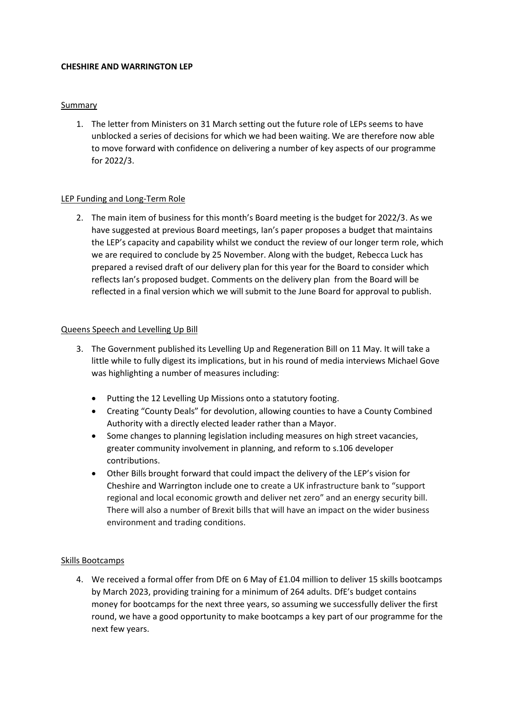#### **CHESHIRE AND WARRINGTON LEP**

#### **Summary**

1. The letter from Ministers on 31 March setting out the future role of LEPs seems to have unblocked a series of decisions for which we had been waiting. We are therefore now able to move forward with confidence on delivering a number of key aspects of our programme for 2022/3.

### LEP Funding and Long-Term Role

2. The main item of business for this month's Board meeting is the budget for 2022/3. As we have suggested at previous Board meetings, Ian's paper proposes a budget that maintains the LEP's capacity and capability whilst we conduct the review of our longer term role, which we are required to conclude by 25 November. Along with the budget, Rebecca Luck has prepared a revised draft of our delivery plan for this year for the Board to consider which reflects Ian's proposed budget. Comments on the delivery plan from the Board will be reflected in a final version which we will submit to the June Board for approval to publish.

#### Queens Speech and Levelling Up Bill

- 3. The Government published its Levelling Up and Regeneration Bill on 11 May. It will take a little while to fully digest its implications, but in his round of media interviews Michael Gove was highlighting a number of measures including:
	- Putting the 12 Levelling Up Missions onto a statutory footing.
	- Creating "County Deals" for devolution, allowing counties to have a County Combined Authority with a directly elected leader rather than a Mayor.
	- Some changes to planning legislation including measures on high street vacancies, greater community involvement in planning, and reform to s.106 developer contributions.
	- Other Bills brought forward that could impact the delivery of the LEP's vision for Cheshire and Warrington include one to create a UK infrastructure bank to "support regional and local economic growth and deliver net zero" and an energy security bill. There will also a number of Brexit bills that will have an impact on the wider business environment and trading conditions.

# Skills Bootcamps

4. We received a formal offer from DfE on 6 May of £1.04 million to deliver 15 skills bootcamps by March 2023, providing training for a minimum of 264 adults. DfE's budget contains money for bootcamps for the next three years, so assuming we successfully deliver the first round, we have a good opportunity to make bootcamps a key part of our programme for the next few years.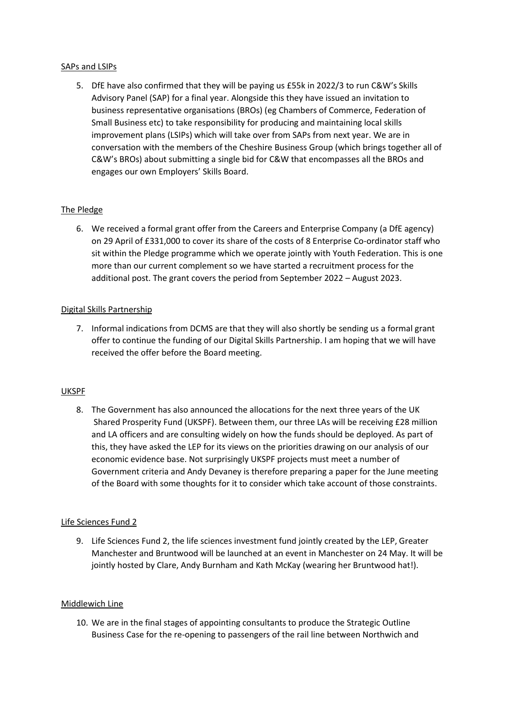#### SAPs and LSIPs

5. DfE have also confirmed that they will be paying us £55k in 2022/3 to run C&W's Skills Advisory Panel (SAP) for a final year. Alongside this they have issued an invitation to business representative organisations (BROs) (eg Chambers of Commerce, Federation of Small Business etc) to take responsibility for producing and maintaining local skills improvement plans (LSIPs) which will take over from SAPs from next year. We are in conversation with the members of the Cheshire Business Group (which brings together all of C&W's BROs) about submitting a single bid for C&W that encompasses all the BROs and engages our own Employers' Skills Board.

# The Pledge

6. We received a formal grant offer from the Careers and Enterprise Company (a DfE agency) on 29 April of £331,000 to cover its share of the costs of 8 Enterprise Co-ordinator staff who sit within the Pledge programme which we operate jointly with Youth Federation. This is one more than our current complement so we have started a recruitment process for the additional post. The grant covers the period from September 2022 – August 2023.

# Digital Skills Partnership

7. Informal indications from DCMS are that they will also shortly be sending us a formal grant offer to continue the funding of our Digital Skills Partnership. I am hoping that we will have received the offer before the Board meeting.

# UKSPF

8. The Government has also announced the allocations for the next three years of the UK Shared Prosperity Fund (UKSPF). Between them, our three LAs will be receiving £28 million and LA officers and are consulting widely on how the funds should be deployed. As part of this, they have asked the LEP for its views on the priorities drawing on our analysis of our economic evidence base. Not surprisingly UKSPF projects must meet a number of Government criteria and Andy Devaney is therefore preparing a paper for the June meeting of the Board with some thoughts for it to consider which take account of those constraints.

# Life Sciences Fund 2

9. Life Sciences Fund 2, the life sciences investment fund jointly created by the LEP, Greater Manchester and Bruntwood will be launched at an event in Manchester on 24 May. It will be jointly hosted by Clare, Andy Burnham and Kath McKay (wearing her Bruntwood hat!).

#### Middlewich Line

10. We are in the final stages of appointing consultants to produce the Strategic Outline Business Case for the re-opening to passengers of the rail line between Northwich and